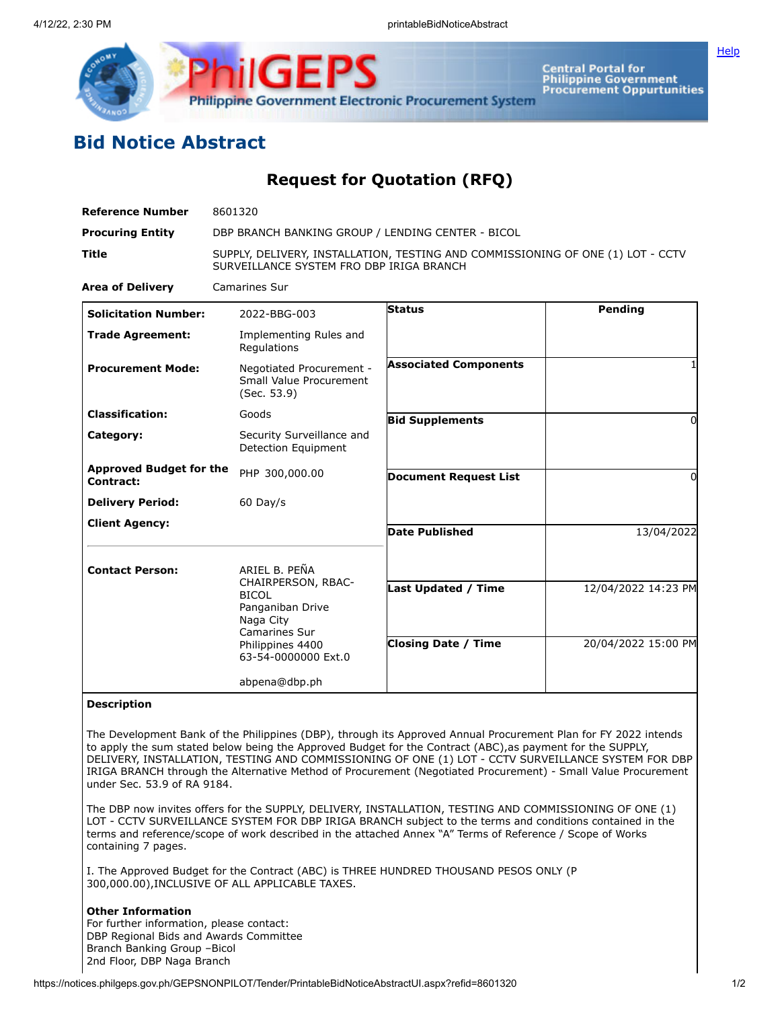

Central Portal for<br>Philippine Government<br>Procurement Oppurtunities

**[Help](javascript:void(window.open()** 

## **Bid Notice Abstract**

## **Request for Quotation (RFQ)**

| <b>Reference Number</b>                     | 8601320                                                                                                                                          |                                                          |                                            |
|---------------------------------------------|--------------------------------------------------------------------------------------------------------------------------------------------------|----------------------------------------------------------|--------------------------------------------|
| <b>Procuring Entity</b>                     | DBP BRANCH BANKING GROUP / LENDING CENTER - BICOL                                                                                                |                                                          |                                            |
| Title                                       | SUPPLY, DELIVERY, INSTALLATION, TESTING AND COMMISSIONING OF ONE (1) LOT - CCTV<br>SURVEILLANCE SYSTEM FRO DBP IRIGA BRANCH                      |                                                          |                                            |
| <b>Area of Delivery</b>                     | <b>Camarines Sur</b>                                                                                                                             |                                                          |                                            |
| <b>Solicitation Number:</b>                 | 2022-BBG-003                                                                                                                                     | <b>Status</b>                                            | Pending                                    |
| <b>Trade Agreement:</b>                     | Implementing Rules and<br>Regulations                                                                                                            |                                                          |                                            |
| <b>Procurement Mode:</b>                    | Negotiated Procurement -<br>Small Value Procurement<br>(Sec. 53.9)                                                                               | <b>Associated Components</b>                             |                                            |
| <b>Classification:</b>                      | Goods                                                                                                                                            | <b>Bid Supplements</b>                                   | 0                                          |
| Category:                                   | Security Surveillance and<br><b>Detection Equipment</b>                                                                                          |                                                          |                                            |
| <b>Approved Budget for the</b><br>Contract: | PHP 300,000.00                                                                                                                                   | <b>Document Request List</b>                             | 0                                          |
| <b>Delivery Period:</b>                     | $60$ Day/s                                                                                                                                       |                                                          |                                            |
| <b>Client Agency:</b>                       |                                                                                                                                                  | <b>Date Published</b>                                    | 13/04/2022                                 |
| <b>Contact Person:</b>                      | ARIEL B. PEÑA<br>CHAIRPERSON, RBAC-<br><b>BICOL</b><br>Panganiban Drive<br>Naga City<br>Camarines Sur<br>Philippines 4400<br>63-54-0000000 Ext.0 | <b>Last Updated / Time</b><br><b>Closing Date / Time</b> | 12/04/2022 14:23 PM<br>20/04/2022 15:00 PM |
|                                             | abpena@dbp.ph                                                                                                                                    |                                                          |                                            |

## **Description**

The Development Bank of the Philippines (DBP), through its Approved Annual Procurement Plan for FY 2022 intends to apply the sum stated below being the Approved Budget for the Contract (ABC),as payment for the SUPPLY, DELIVERY, INSTALLATION, TESTING AND COMMISSIONING OF ONE (1) LOT - CCTV SURVEILLANCE SYSTEM FOR DBP IRIGA BRANCH through the Alternative Method of Procurement (Negotiated Procurement) - Small Value Procurement under Sec. 53.9 of RA 9184.

The DBP now invites offers for the SUPPLY, DELIVERY, INSTALLATION, TESTING AND COMMISSIONING OF ONE (1) LOT - CCTV SURVEILLANCE SYSTEM FOR DBP IRIGA BRANCH subject to the terms and conditions contained in the terms and reference/scope of work described in the attached Annex "A" Terms of Reference / Scope of Works containing 7 pages.

I. The Approved Budget for the Contract (ABC) is THREE HUNDRED THOUSAND PESOS ONLY (P 300,000.00),INCLUSIVE OF ALL APPLICABLE TAXES.

## **Other Information**

For further information, please contact: DBP Regional Bids and Awards Committee Branch Banking Group –Bicol 2nd Floor, DBP Naga Branch